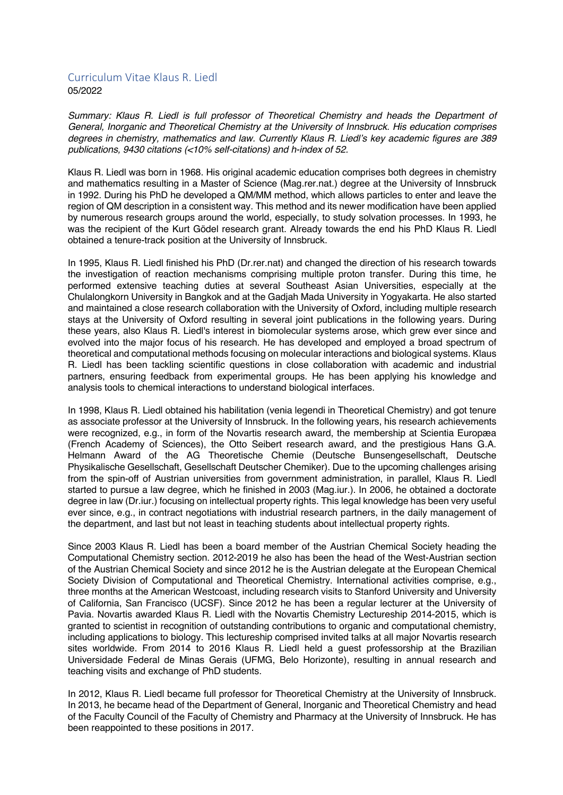## Curriculum Vitae Klaus R. Liedl 05/2022

*Summary: Klaus R. Liedl is full professor of Theoretical Chemistry and heads the Department of General, Inorganic and Theoretical Chemistry at the University of Innsbruck. His education comprises degrees in chemistry, mathematics and law. Currently Klaus R. Liedl's key academic figures are 389 publications, 9430 citations (<10% self-citations) and h-index of 52.*

Klaus R. Liedl was born in 1968. His original academic education comprises both degrees in chemistry and mathematics resulting in a Master of Science (Mag.rer.nat.) degree at the University of Innsbruck in 1992. During his PhD he developed a QM/MM method, which allows particles to enter and leave the region of QM description in a consistent way. This method and its newer modification have been applied by numerous research groups around the world, especially, to study solvation processes. In 1993, he was the recipient of the Kurt Gödel research grant. Already towards the end his PhD Klaus R. Liedl obtained a tenure-track position at the University of Innsbruck.

In 1995, Klaus R. Liedl finished his PhD (Dr.rer.nat) and changed the direction of his research towards the investigation of reaction mechanisms comprising multiple proton transfer. During this time, he performed extensive teaching duties at several Southeast Asian Universities, especially at the Chulalongkorn University in Bangkok and at the Gadjah Mada University in Yogyakarta. He also started and maintained a close research collaboration with the University of Oxford, including multiple research stays at the University of Oxford resulting in several joint publications in the following years. During these years, also Klaus R. Liedl's interest in biomolecular systems arose, which grew ever since and evolved into the major focus of his research. He has developed and employed a broad spectrum of theoretical and computational methods focusing on molecular interactions and biological systems. Klaus R. Liedl has been tackling scientific questions in close collaboration with academic and industrial partners, ensuring feedback from experimental groups. He has been applying his knowledge and analysis tools to chemical interactions to understand biological interfaces.

In 1998, Klaus R. Liedl obtained his habilitation (venia legendi in Theoretical Chemistry) and got tenure as associate professor at the University of Innsbruck. In the following years, his research achievements were recognized, e.g., in form of the Novartis research award, the membership at Scientia Europæa (French Academy of Sciences), the Otto Seibert research award, and the prestigious Hans G.A. Helmann Award of the AG Theoretische Chemie (Deutsche Bunsengesellschaft, Deutsche Physikalische Gesellschaft, Gesellschaft Deutscher Chemiker). Due to the upcoming challenges arising from the spin-off of Austrian universities from government administration, in parallel, Klaus R. Liedl started to pursue a law degree, which he finished in 2003 (Mag.iur.). In 2006, he obtained a doctorate degree in law (Dr.iur.) focusing on intellectual property rights. This legal knowledge has been very useful ever since, e.g., in contract negotiations with industrial research partners, in the daily management of the department, and last but not least in teaching students about intellectual property rights.

Since 2003 Klaus R. Liedl has been a board member of the Austrian Chemical Society heading the Computational Chemistry section. 2012-2019 he also has been the head of the West-Austrian section of the Austrian Chemical Society and since 2012 he is the Austrian delegate at the European Chemical Society Division of Computational and Theoretical Chemistry. International activities comprise, e.g., three months at the American Westcoast, including research visits to Stanford University and University of California, San Francisco (UCSF). Since 2012 he has been a regular lecturer at the University of Pavia. Novartis awarded Klaus R. Liedl with the Novartis Chemistry Lectureship 2014-2015, which is granted to scientist in recognition of outstanding contributions to organic and computational chemistry, including applications to biology. This lectureship comprised invited talks at all major Novartis research sites worldwide. From 2014 to 2016 Klaus R. Liedl held a guest professorship at the Brazilian Universidade Federal de Minas Gerais (UFMG, Belo Horizonte), resulting in annual research and teaching visits and exchange of PhD students.

In 2012, Klaus R. Liedl became full professor for Theoretical Chemistry at the University of Innsbruck. In 2013, he became head of the Department of General, Inorganic and Theoretical Chemistry and head of the Faculty Council of the Faculty of Chemistry and Pharmacy at the University of Innsbruck. He has been reappointed to these positions in 2017.